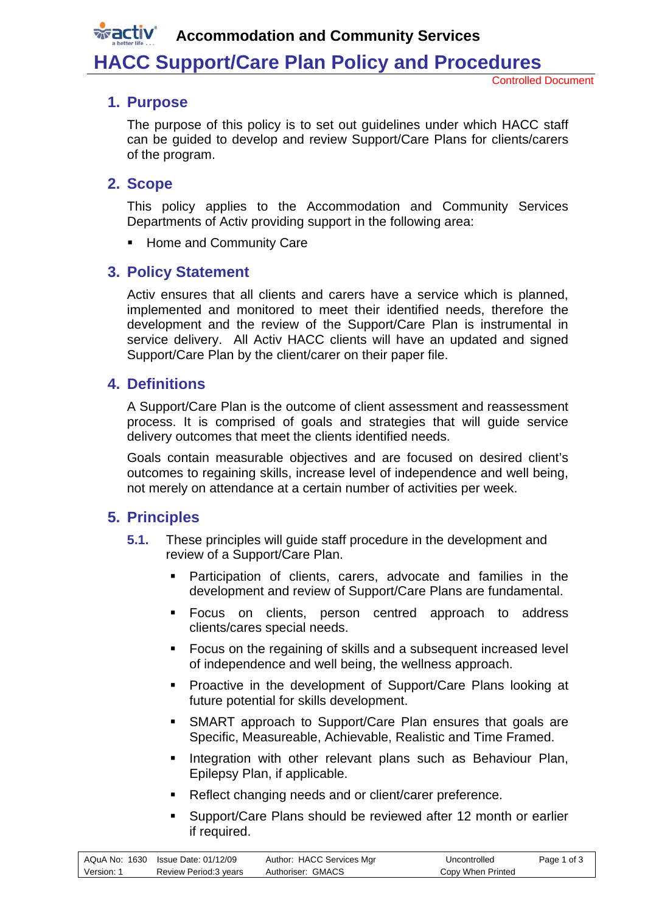**Accommodation and Community Services**

## **HACC Support/Care Plan Policy and Procedures**

### **1. Purpose**

**wactiv** 

The purpose of this policy is to set out guidelines under which HACC staff can be guided to develop and review Support/Care Plans for clients/carers of the program.

#### **2. Scope**

This policy applies to the Accommodation and Community Services Departments of Activ providing support in the following area:

**Home and Community Care** 

## **3. Policy Statement**

Activ ensures that all clients and carers have a service which is planned, implemented and monitored to meet their identified needs, therefore the development and the review of the Support/Care Plan is instrumental in service delivery. All Activ HACC clients will have an updated and signed Support/Care Plan by the client/carer on their paper file.

## **4. Definitions**

A Support/Care Plan is the outcome of client assessment and reassessment process. It is comprised of goals and strategies that will guide service delivery outcomes that meet the clients identified needs.

Goals contain measurable objectives and are focused on desired client's outcomes to regaining skills, increase level of independence and well being, not merely on attendance at a certain number of activities per week.

## **5. Principles**

- **5.1.** These principles will guide staff procedure in the development and review of a Support/Care Plan.
	- Participation of clients, carers, advocate and families in the development and review of Support/Care Plans are fundamental.
	- **Focus on clients, person centred approach to address** clients/cares special needs.
	- Focus on the regaining of skills and a subsequent increased level of independence and well being, the wellness approach.
	- **Proactive in the development of Support/Care Plans looking at** future potential for skills development.
	- SMART approach to Support/Care Plan ensures that goals are Specific, Measureable, Achievable, Realistic and Time Framed.
	- Integration with other relevant plans such as Behaviour Plan, Epilepsy Plan, if applicable.
	- Reflect changing needs and or client/carer preference.
	- **Support/Care Plans should be reviewed after 12 month or earlier** if required.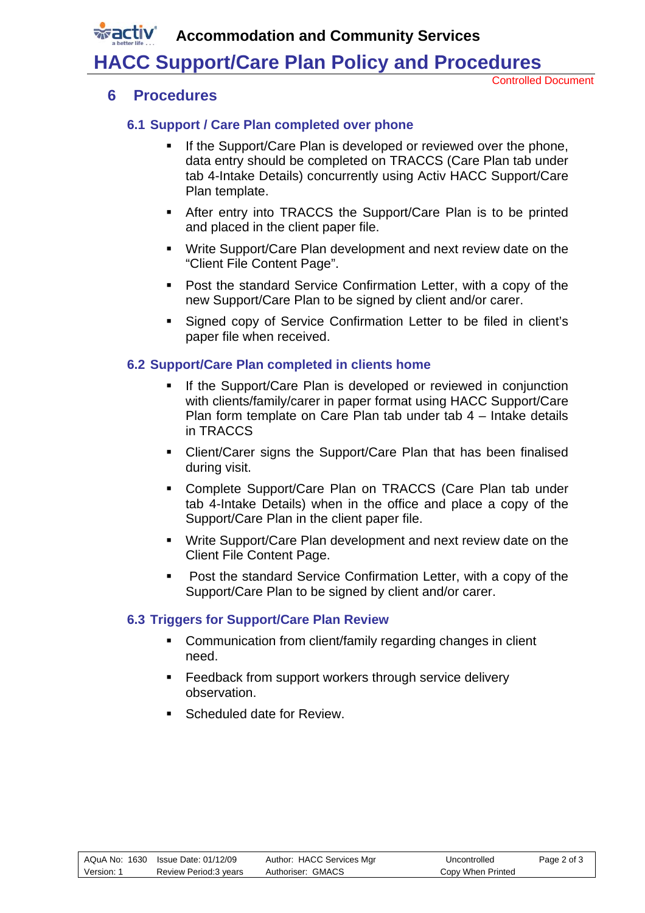**Accommodation and Community Services**

# **HACC Support/Care Plan Policy and Procedures**

Controlled Document

### **6 Procedures**

*x***activ** 

#### **6.1 Support / Care Plan completed over phone**

- If the Support/Care Plan is developed or reviewed over the phone, data entry should be completed on TRACCS (Care Plan tab under tab 4-Intake Details) concurrently using Activ HACC Support/Care Plan template.
- After entry into TRACCS the Support/Care Plan is to be printed and placed in the client paper file.
- Write Support/Care Plan development and next review date on the "Client File Content Page".
- **Post the standard Service Confirmation Letter, with a copy of the** new Support/Care Plan to be signed by client and/or carer.
- Signed copy of Service Confirmation Letter to be filed in client's paper file when received.

#### **6.2 Support/Care Plan completed in clients home**

- If the Support/Care Plan is developed or reviewed in conjunction with clients/family/carer in paper format using HACC Support/Care Plan form template on Care Plan tab under tab 4 – Intake details in TRACCS
- Client/Carer signs the Support/Care Plan that has been finalised during visit.
- Complete Support/Care Plan on TRACCS (Care Plan tab under tab 4-Intake Details) when in the office and place a copy of the Support/Care Plan in the client paper file.
- Write Support/Care Plan development and next review date on the Client File Content Page.
- **Post the standard Service Confirmation Letter, with a copy of the** Support/Care Plan to be signed by client and/or carer.

#### **6.3 Triggers for Support/Care Plan Review**

- **EXECOMMUNICATED FROM CONTROLLY FOR THE COMMUNICATED** Communication from client need.
- **Feedback from support workers through service delivery** observation.
- Scheduled date for Review.